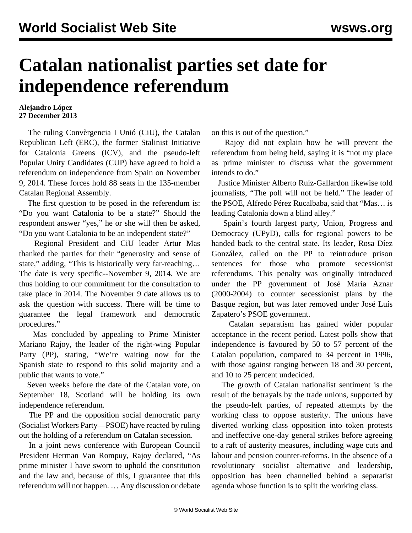## **Catalan nationalist parties set date for independence referendum**

## **Alejandro López 27 December 2013**

 The ruling Convèrgencia I Unió (CiU), the Catalan Republican Left (ERC), the former Stalinist Initiative for Catalonia Greens (ICV), and the pseudo-left Popular Unity Candidates (CUP) have agreed to hold a referendum on independence from Spain on November 9, 2014. These forces hold 88 seats in the 135-member Catalan Regional Assembly.

 The first question to be posed in the referendum is: "Do you want Catalonia to be a state?" Should the respondent answer "yes," he or she will then be asked, "Do you want Catalonia to be an independent state?"

 Regional President and CiU leader Artur Mas thanked the parties for their "generosity and sense of state," adding, "This is historically very far-reaching... The date is very specific--November 9, 2014. We are thus holding to our commitment for the consultation to take place in 2014. The November 9 date allows us to ask the question with success. There will be time to guarantee the legal framework and democratic procedures."

 Mas concluded by appealing to Prime Minister Mariano Rajoy, the leader of the right-wing Popular Party (PP), stating, "We're waiting now for the Spanish state to respond to this solid majority and a public that wants to vote."

 Seven weeks before the date of the Catalan vote, on September 18, Scotland will be holding its own independence referendum.

 The PP and the opposition social democratic party (Socialist Workers Party—PSOE) have reacted by ruling out the holding of a referendum on Catalan secession.

 In a joint news conference with European Council President Herman Van Rompuy, Rajoy declared, "As prime minister I have sworn to uphold the constitution and the law and, because of this, I guarantee that this referendum will not happen. … Any discussion or debate on this is out of the question."

 Rajoy did not explain how he will prevent the referendum from being held, saying it is "not my place as prime minister to discuss what the government intends to do."

 Justice Minister Alberto Ruiz-Gallardon likewise told journalists, "The poll will not be held." The leader of the PSOE, Alfredo Pérez Rucalbaba, said that "Mas… is leading Catalonia down a blind alley."

 Spain's fourth largest party, Union, Progress and Democracy (UPyD), calls for regional powers to be handed back to the central state. Its leader, Rosa Díez González, called on the PP to reintroduce prison sentences for those who promote secessionist referendums. This penalty was originally introduced under the PP government of José María Aznar (2000-2004) to counter secessionist plans by the Basque region, but was later removed under José Luís Zapatero's PSOE government.

 Catalan separatism has gained wider popular acceptance in the recent period. Latest polls show that independence is favoured by 50 to 57 percent of the Catalan population, compared to 34 percent in 1996, with those against ranging between 18 and 30 percent, and 10 to 25 percent undecided.

 The growth of Catalan nationalist sentiment is the result of the betrayals by the trade unions, supported by the pseudo-left parties, of repeated attempts by the working class to oppose austerity. The unions have diverted working class opposition into token protests and ineffective one-day general strikes before agreeing to a raft of austerity measures, including wage cuts and labour and pension counter-reforms. In the absence of a revolutionary socialist alternative and leadership, opposition has been channelled behind a separatist agenda whose function is to split the working class.